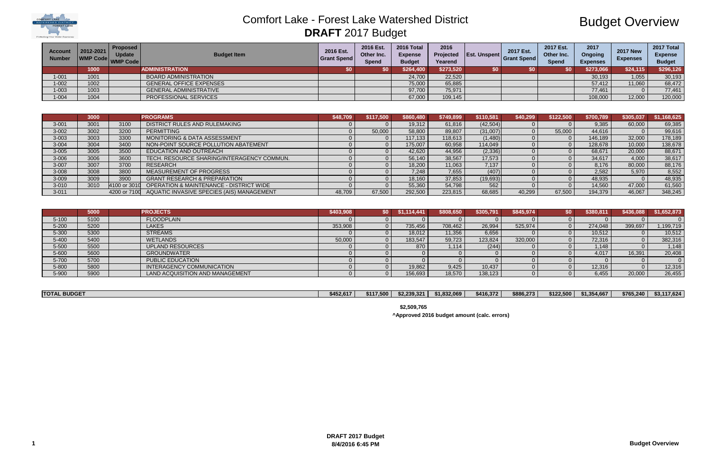

## Budget Overview

| <b>Account</b><br><b>Number</b> | 2012-2021<br>WMP Code WMP Code | Proposed  <br><b>Update</b> | <b>Budget Item</b>             | 2016 Est.<br>Grant Spend | 2016 Est.<br>Other Inc.<br><b>Spend</b> | 2016 Total<br><b>Expense</b><br><b>Budget</b> | 2016<br>Yearend | <b>Projected Est. Unspent</b> | 2017 Est.<br><b>Grant Spend</b> | <b>2017 Est.</b><br>Other Inc.<br><b>Spend</b> | 2017<br><b>Ongoing</b><br><b>Expenses</b> | <b>2017 New</b><br><b>Expenses</b> | 2017 Total<br><b>Expense</b><br><b>Budget</b> |
|---------------------------------|--------------------------------|-----------------------------|--------------------------------|--------------------------|-----------------------------------------|-----------------------------------------------|-----------------|-------------------------------|---------------------------------|------------------------------------------------|-------------------------------------------|------------------------------------|-----------------------------------------------|
|                                 | 1000                           |                             | <b>ADMINISTRATION</b>          |                          | <b>\$0</b>                              | \$264,400                                     | \$273,520       |                               |                                 | \$0                                            | \$273,066                                 | \$24,115                           | \$296,126                                     |
| $-001$                          | 1001                           |                             | <b>BOARD ADMINISTRATION</b>    |                          |                                         | 24,700                                        | 22,520          |                               |                                 |                                                | 30,193                                    | 1,055                              | 30,193                                        |
| $-002$                          | 1002                           |                             | <b>GENERAL OFFICE EXPENSES</b> |                          |                                         | 75,000                                        | 65,885          |                               |                                 |                                                | 57,412                                    | 11,060                             | 68,472                                        |
| $1 - 003$                       | 1003                           |                             | <b>GENERAL ADMINISTRATIVE</b>  |                          |                                         | 97,700                                        | 75,971          |                               |                                 |                                                | 77,461                                    |                                    | 77,461                                        |
| $-004$                          | 1004                           |                             | PROFESSIONAL SERVICES          |                          |                                         | 67,000                                        | 109,145         |                               |                                 |                                                | 108,000                                   | 12,000                             | 120,000                                       |

|           | 3000 |              | <b>PROGRAMS</b>                                        | \$48,709 | \$117.500 | \$860,480 | \$749,899 | \$110,581 | \$40,299 | \$122,500 | \$700,789 | \$305,037 | \$1,168,625 |
|-----------|------|--------------|--------------------------------------------------------|----------|-----------|-----------|-----------|-----------|----------|-----------|-----------|-----------|-------------|
| $3 - 001$ | 3001 | 3100         | DISTRICT RULES AND RULEMAKING                          |          |           | 19,312    | 61.816    | (42,504)  |          |           | 9.385     | 60,000    | 69,385      |
| $3 - 002$ | 3002 | 3200         | <b>PERMITTING</b>                                      |          | 50,000    | 58,800    | 89,807    | (31,007)  |          | 55.000    | 44,616    |           | 99,616      |
| $3 - 003$ | 3003 | 3300         | <b>MONITORING &amp; DATA ASSESSMENT</b>                |          |           | 117,133   | 118,613   | (1,480)   |          |           | 146,189   | 32,000    | 178,189     |
| $3 - 004$ | 3004 | 3400         | NON-POINT SOURCE POLLUTION ABATEMENT                   |          |           | 175,007   | 60,958    | 114,049   |          |           | 128,678   | 10,000    | 138,678     |
| $3 - 005$ | 3005 | 3500         | EDUCATION AND OUTREACH                                 |          |           | 42,620    | 44,956    | (2,336)   |          |           | 68,671    | 20,000    | 88,671      |
| $3 - 006$ | 3006 | 3600         | TECH. RESOURCE SHARING/INTERAGENCY COMMUN.             |          |           | 56,140    | 38,567    | 17,573    |          |           | 34.617    | 4,000     | 38,617      |
| $3 - 007$ | 3007 | 3700         | <b>RESEARCH</b>                                        |          |           | 18,200    | 11,063    | 7,137     |          |           | 8.176     | 80,000    | 88,176      |
| $3 - 008$ | 3008 | 3800         | <b>MEASUREMENT OF PROGRESS</b>                         |          |           | 7.248     | 7,655     | (407)     |          |           | 2.582     | 5,970     | 8,552       |
| 3-009     | 3009 | 3900         | <b>GRANT RESEARCH &amp; PREPARATION</b>                |          |           | 18,160    | 37,853    | (19,693)  |          |           | 48,935    |           | 48,935      |
| $3 - 010$ | 3010 | 4100 or 3010 | <b>OPERATION &amp; MAINTENANCE - DISTRICT WIDE</b>     |          |           | 55,360    | 54,798    | 562       |          |           | 14.560    | 47,000    | 61,560      |
| $3 - 011$ |      |              | 4200 or 7100 AQUATIC INVASIVE SPECIES (AIS) MANAGEMENT | 48.709   | 67,500    | 292,500   | 223,815   | 68,685    | 40,299   | 67.500    | 194,379   | 46,067    | 348,245     |

|           | 5000 | <b>PROJECTS</b>                 | \$403,908 | 50 I | .114.441 | \$808,650 | \$305,791 | \$845,974 | \$0 I | \$380,811 | \$436,088 | \$1,652,873 |
|-----------|------|---------------------------------|-----------|------|----------|-----------|-----------|-----------|-------|-----------|-----------|-------------|
| $5 - 100$ | 5100 | <b>FLOODPLAIN</b>               |           |      |          |           |           |           |       |           |           |             |
| $5 - 200$ | 5200 | <b>LAKES</b>                    | 353,908   |      | 735,456  | 708,462   | 26,994    | 525,974   |       | 274,048   | 399,697   | 1,199,719   |
| 5-300     | 5300 | <b>STREAMS</b>                  |           |      | 18,012   | 11,356    | 6,656     |           |       | 10,512    |           | 10,512      |
| $5 - 400$ | 5400 | <b>WETLANDS</b>                 | 50,000    |      | 183,547  | 59,723    | 123,824   | 320,000   |       | 72,316    |           | 382,316     |
| 5-500     | 5500 | <b>UPLAND RESOURCES</b>         |           |      | 870      | 1,114     | (244)     |           |       | ,148      |           | 1,148       |
| 5-600     | 5600 | <b>GROUNDWATER</b>              |           |      |          |           |           |           |       | 4,017     | 16,391    | 20,408      |
| 5-700     | 5700 | <b>PUBLIC EDUCATION</b>         |           |      |          |           |           |           |       |           |           |             |
| 5-800     | 5800 | INTERAGENCY COMMUNICATION       |           |      | 19,862   | 9,425     | 10,437    |           |       | 12,316    |           | 12,316      |
| 5-900     | 5900 | LAND ACQUISITION AND MANAGEMENT |           |      | 156,693  | 18,570    | 138,123   |           |       | 6,455     | 20,000    | 26,455      |

| <b>TOTAL BUDGET</b> | \$452,617 | \$117,500 | \$2,239,321 | \$1,832,069 | \$416,372 | \$886,273 | \$122,500 | \$1,354,667 | \$765,240 | \$3,117,624 |
|---------------------|-----------|-----------|-------------|-------------|-----------|-----------|-----------|-------------|-----------|-------------|

**\$2,509,765**

**^Approved 2016 budget amount (calc. errors)**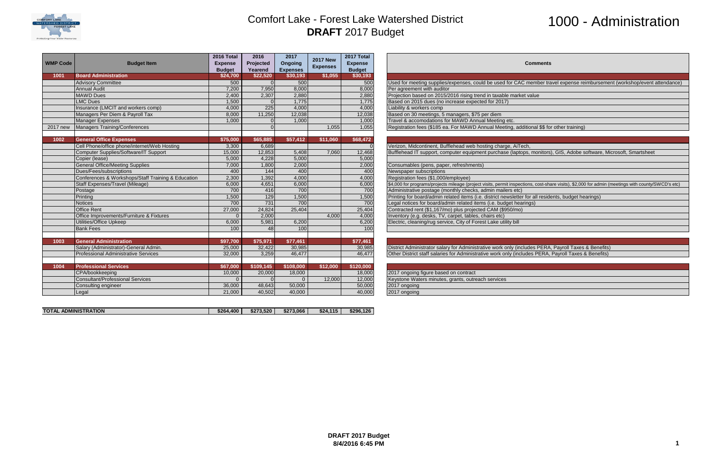

# 1000 - Administration

#### **Comments**

used for CAC member travel expense reimbursement (workshop/event attendance)

1 Meeting, additional \$\$ for other training)

Lurchase (laptops, monitors), GIS, Adobe software, Microsoft, Smartsheet

, permit inspections, cost-share visits), \$2,000 for admin (meetings with county/SWCD's etc)

Irict newsletter for all residents, budget hearings)

work only (includes PERA, Payroll Taxes & Benefits) work only (includes PERA, Payroll Taxes & Benefits)

| <b>WMP Code</b> | <b>Budget Item</b>                                 | 2016 Total<br><b>Expense</b><br><b>Budget</b> | 2016<br>Projected<br>Yearend | 2017<br>Ongoing<br><b>Expenses</b> | <b>2017 New</b><br><b>Expenses</b> | 2017 Total<br><b>Expense</b><br><b>Budget</b> | Comn                                                                          |
|-----------------|----------------------------------------------------|-----------------------------------------------|------------------------------|------------------------------------|------------------------------------|-----------------------------------------------|-------------------------------------------------------------------------------|
| 1001            | <b>Board Administration</b>                        | \$24,700                                      | \$22,520                     | \$30,193                           | \$1,055                            | \$30,193                                      |                                                                               |
|                 | <b>Advisory Committee</b>                          | 500                                           | $\Omega$                     | 500                                |                                    | 500                                           | Used for meeting supplies/expenses, could be used for CAC memb                |
|                 | <b>Annual Audit</b>                                | 7.200                                         | 7,950                        | 8,000                              |                                    | 8,000                                         | Per agreement with auditor                                                    |
|                 | <b>MAWD</b> Dues                                   | 2,400                                         | 2,307                        | 2,880                              |                                    | 2,880                                         | Projection based on 2015/2016 rising trend in taxable market value            |
|                 | <b>LMC Dues</b>                                    | 1,500                                         |                              | 1,775                              |                                    | 1,775                                         | Based on 2015 dues (no increase expected for 2017)                            |
|                 | Insurance (LMCIT and workers comp)                 | 4,000                                         | 225                          | 4,000                              |                                    | 4,000                                         | Liability & workers comp                                                      |
|                 | Managers Per Diem & Payroll Tax                    | 8,000                                         | 11,250                       | 12,038                             |                                    | 12,038                                        | Based on 30 meetings, 5 managers, \$75 per diem                               |
|                 | <b>Manager Expenses</b>                            | 1,000                                         |                              | 1,000                              |                                    | 1,000                                         | Travel & accomodations for MAWD Annual Meeting etc.                           |
| 2017 new        | <b>Managers Training/Conferences</b>               |                                               |                              |                                    | 1,055                              | 1,055                                         | Registration fees (\$185 ea. For MAWD Annual Meeting, additional              |
| 1002            | <b>General Office Expenses</b>                     | \$75,000                                      | \$65,885                     | \$57,412                           | \$11,060                           | \$68,472                                      |                                                                               |
|                 | Cell Phone/office phone/internet/Web Hosting       | 3,300                                         | 6,689                        |                                    |                                    |                                               | Verizon, Midcontinent, Bufflehead web hosting charge, AiTech,                 |
|                 | Computer Supplies/Software/IT Support              | 15,000                                        | 12,853                       | 5,408                              | 7,060                              | 12,468                                        | Bufflehead IT support, computer equipment purchase (laptops, mor              |
|                 | Copier (lease)                                     | 5,000                                         | 4,228                        | 5,000                              |                                    | 5,000                                         |                                                                               |
|                 | <b>General Office/Meeting Supplies</b>             | 7,000                                         | 1,800                        | 2,000                              |                                    | 2,000                                         | Consumables (pens, paper, refreshments)                                       |
|                 | Dues/Fees/subscriptions                            | 400                                           | 144                          | 400                                |                                    | 400                                           | Newspaper subscriptions                                                       |
|                 | Conferences & Workshops/Staff Training & Education | 2,300                                         | 1,392                        | 4,000                              |                                    | 4,000                                         | Registration fees (\$1,000/employee)                                          |
|                 | Staff Expenses/Travel (Mileage)                    | 6,000                                         | 4,651                        | 6,000                              |                                    | 6,000                                         | \$4,000 for programs/projects mileage (project visits, permit inspections, co |
|                 | Postage                                            | 700                                           | 416                          | 700                                |                                    | 700                                           | Administrative postage (monthly checks, admin mailers etc)                    |
|                 | Printing                                           | 1,500                                         | 129                          | 1,500                              |                                    | 1,500                                         | Printing for board/admin related items (i.e. district newsletter for all      |
|                 | <b>Notices</b>                                     | 700                                           | 731                          | 700                                |                                    | 700                                           | Legal notices for board/admin related items (i.e. budget hearings)            |
|                 | <b>Office Rent</b>                                 | 27,000                                        | 24,824                       | 25,404                             |                                    | 25,404                                        | Contracted rent (\$1,167/mo) plus projected CAM (\$950/mo)                    |
|                 | Office Improvements/Furniture & Fixtures           | $\Omega$                                      | 2,000                        |                                    | 4,000                              | 4,000                                         | Inventory (e.g. desks, TV, carpet, tables, chairs etc)                        |
|                 | <b>Utilities/Office Upkeep</b>                     | 6,000                                         | 5,981                        | 6,200                              |                                    | 6,200                                         | Electric, cleaning/rug service, City of Forest Lake utility bill              |
|                 | <b>Bank Fees</b>                                   | 100                                           | 48                           | 100                                |                                    | 100                                           |                                                                               |
| 1003            | <b>General Administration</b>                      | \$97,700                                      | \$75,971                     | \$77,461                           |                                    | \$77,461                                      |                                                                               |
|                 | Salary (Administrator)-General Admin.              | 25,000                                        | 32,422                       | 30,985                             |                                    | 30,985                                        | District Administrator salary for Administrative work only (includes F        |
|                 | <b>Professional Administrative Services</b>        | 32,000                                        | 3,259                        | 46,477                             |                                    | 46,477                                        | Other District staff salaries for Administrative work only (includes PI       |
| 1004            | <b>Professional Services</b>                       | \$67,000                                      | \$109,145                    | \$108,000                          | \$12,000                           | \$120,000                                     |                                                                               |
|                 | CPA/bookkeeping                                    | 10,000                                        | 20,000                       | 18,000                             |                                    | 18,000                                        | 2017 ongoing figure based on contract                                         |
|                 | <b>Consultant/Professional Services</b>            | $\Omega$                                      |                              | $\Omega$                           | 12,000                             | 12,000                                        | Keystone Waters minutes, grants, outreach services                            |
|                 | Consulting engineer                                | 36,000                                        | 48,643                       | 50,000                             |                                    | 50,000                                        | 2017 ongoing                                                                  |
|                 | Legal                                              | 21,000                                        | 40,502                       | 40,000                             |                                    | 40,000                                        | 2017 ongoing                                                                  |

| <b>ADMINISTRATION</b><br><b>TOTAL</b> | \$264.400 | \$273.520 | \$273.066 | \$24.<br>.115 | \$296.126 |
|---------------------------------------|-----------|-----------|-----------|---------------|-----------|
|                                       |           |           |           |               |           |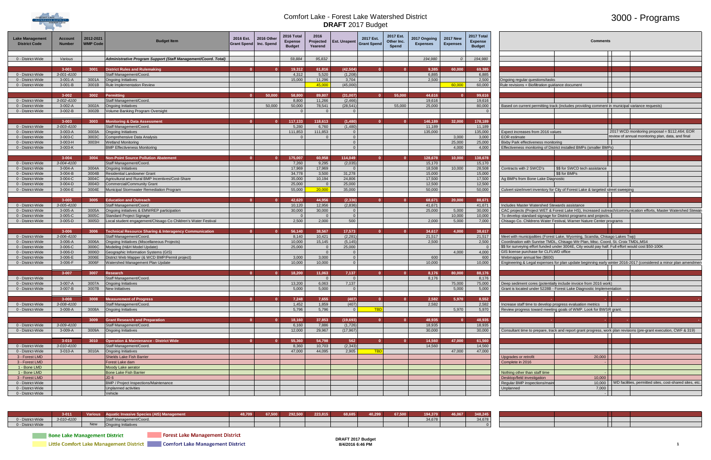

## 3000 - Programs

| Lake Managemen<br><b>District Code</b> | <b>Account</b><br><b>Number</b> | 2012-2021<br><b>WMP Code</b> | Budget Iten                                                                               | 2016 Est.<br><b>Grant Spend</b> | 2016 Other<br>Inc. Spend | 2016 Total<br><b>Expense</b><br><b>Budget</b> | 2016<br>Projected<br>Yearend | <b>Est. Unspent</b>              | 2017 Est.<br><b>Grant Spend</b> | 2017 Est<br>Other Inc.<br>Spend | 2017 Ongoing<br><b>Expenses</b> | <b>2017 New</b><br><b>Expenses</b> | 2017 Total<br><b>Expense</b><br><b>Budget</b> | <b>Comments</b>                                                                                                                                 |      |                                                                  |
|----------------------------------------|---------------------------------|------------------------------|-------------------------------------------------------------------------------------------|---------------------------------|--------------------------|-----------------------------------------------|------------------------------|----------------------------------|---------------------------------|---------------------------------|---------------------------------|------------------------------------|-----------------------------------------------|-------------------------------------------------------------------------------------------------------------------------------------------------|------|------------------------------------------------------------------|
| 0 - District-Wide                      | Various                         |                              | Administrative Program Support (Staff Management/Coord. Total)                            |                                 |                          | 59,884                                        | 95.832                       |                                  |                                 |                                 | 194.980                         |                                    | 194.980                                       |                                                                                                                                                 |      |                                                                  |
|                                        |                                 |                              |                                                                                           |                                 |                          |                                               |                              |                                  |                                 |                                 |                                 |                                    |                                               |                                                                                                                                                 |      |                                                                  |
|                                        | $3 - 001$                       | 3001                         | <b>District Rules and Rulemaking</b>                                                      | $\mathbf{a}$                    |                          | 19,312                                        | 61,816                       | (42, 504)                        |                                 |                                 | 9.385                           | 60,000                             | 69,385                                        |                                                                                                                                                 |      |                                                                  |
| 0 - District-Wide                      | 3-001-4100                      |                              | Staff Management/Coord.                                                                   |                                 |                          | 4,312                                         | 5,520                        | (1,208)                          |                                 |                                 | 6,885                           |                                    | 6,885                                         |                                                                                                                                                 |      |                                                                  |
| 0 - District-Wide                      | $3-001-A$<br>$3-001-B$          |                              | 3001A <b>Ongoing Initiatives</b><br>3001B Rule Implementation Review                      |                                 |                          | 15,000                                        | 11,296<br>45,000             | 3,704<br>(45,000)                |                                 |                                 | 2,500                           | 60.000                             | 2,500<br>60,000                               | Ongoing regular questions/tasks                                                                                                                 |      |                                                                  |
| 0 - District-Wide                      |                                 |                              |                                                                                           |                                 |                          |                                               |                              |                                  |                                 |                                 |                                 |                                    |                                               | Rule revisions + Biofiltration guidance document                                                                                                |      |                                                                  |
|                                        | $3 - 002$                       | 3002                         | Permitting                                                                                | $\Omega$                        | 50,000                   | 58,800                                        | 89,807                       | (31,007)                         |                                 | 55,000                          | 44,616                          | $\Omega$                           | 99,616                                        |                                                                                                                                                 |      |                                                                  |
| 0 - District-Wide                      | 3-002-4100                      |                              | Staff Management/Coord.                                                                   |                                 |                          | 8,800                                         | 11,266                       | (2, 466)                         |                                 |                                 | 19,616                          |                                    | 19,616                                        |                                                                                                                                                 |      |                                                                  |
| 0 - District-Wide                      | 3-002-A                         |                              | 3002A Ongoing Initiatives                                                                 |                                 | 50.000                   | 50,000                                        | 78,541                       | (28, 541)                        |                                 | 55,000                          | 25,000                          |                                    | 80,000                                        | Based on current permitting track (includes providing comment in municipal variance requests)                                                   |      |                                                                  |
| 0 - District-Wide                      | 3-002-B                         | 3002B                        | Volume Banking Program Oversight                                                          |                                 |                          |                                               |                              | $\Omega$                         |                                 |                                 |                                 |                                    |                                               |                                                                                                                                                 |      |                                                                  |
|                                        |                                 |                              |                                                                                           |                                 |                          |                                               |                              |                                  |                                 |                                 |                                 |                                    |                                               |                                                                                                                                                 |      |                                                                  |
| 0 - District-Wide                      | $3 - 003$<br>3-003-4100         | 3003                         | <b>Monitoring &amp; Data Assessment</b><br>Staff Management/Coord.                        |                                 |                          | 117,133<br>5,280                              | 118,613<br>6.760             | (1,480)<br>(1,480)               |                                 |                                 | 146.189<br>11.189               | 32.000                             | 178,189<br>11,189                             |                                                                                                                                                 |      |                                                                  |
| 0 - District-Wide                      | 3-003-A                         | 3003A                        | <b>Ongoing Initiatives</b>                                                                |                                 |                          | 111.853                                       | 111,853                      | $\overline{0}$                   |                                 |                                 | 135,000                         |                                    | 135,000                                       | Expect increases from 2016 values                                                                                                               |      | 2017 WCD monitoring proposal = \$112,464; EOR                    |
| 0 - District-Wide                      | 3-003-C                         |                              | 3003C Comprehensive Data Analysis                                                         |                                 |                          |                                               |                              | $\Omega$                         |                                 |                                 |                                 | 3,000                              | 3,000                                         | <b>EOR</b> estimate                                                                                                                             |      | review of annual monitoring plan, data, and final                |
| 0 - District-Wide                      | 3-003-H                         |                              | 3003H Wetland Monitoring                                                                  |                                 |                          |                                               |                              | $\Omega$                         |                                 |                                 |                                 | 25,000                             | 25,000                                        | Bixby Park effectiveness monitoring                                                                                                             |      |                                                                  |
| 0 - District-Wide                      | 3-003-K                         |                              | <b>BMP Effectiveness Monitoring</b>                                                       |                                 |                          |                                               |                              | $\Omega$                         |                                 |                                 |                                 | 4.000                              | 4,000                                         | Effectiveness monitoring of District installed BMPs (smaller BMPs)                                                                              |      |                                                                  |
|                                        |                                 |                              |                                                                                           |                                 |                          |                                               |                              |                                  |                                 |                                 |                                 |                                    |                                               |                                                                                                                                                 |      |                                                                  |
|                                        | $3 - 004$                       | 3004                         | <b>Non-Point Source Pollution Abatement</b>                                               | $\Omega$                        | n.                       | 175,007                                       | 60,958                       | 114,049                          |                                 |                                 | 128,678                         | 10,000                             | 138,678                                       |                                                                                                                                                 |      |                                                                  |
| 0 - District-Wide                      | 3-004-4100                      |                              | Staff Management/Coord.                                                                   |                                 |                          | 7,260                                         | 9,295                        | (2,035)                          |                                 |                                 | 15,170                          |                                    | 15,170                                        |                                                                                                                                                 |      |                                                                  |
| 0 - District-Wide<br>0 - District-Wide | $3-004-A$<br>3-004-B            | 3004B                        | 3004A <b>Ongoing Initiatives</b><br><b>Residential Landowner Grant</b>                    |                                 |                          | 17,969<br>34,778                              | 17,969<br>3,500              | $\overline{0}$<br>31,278         |                                 |                                 | 18,508<br>15,000                | 10,000                             | 28,508<br>15,000                              | \$\$ for SWCD tech assistance<br>Contracts with 2 SWCD's<br>\$\$ for BMPs                                                                       |      |                                                                  |
| 0 - District-Wide                      | 3-004-C                         | 3004C                        | Agricultural and Rural BMP Incentives/Cost-Share                                          |                                 |                          | 35,000                                        | 10,194                       | 24,806                           |                                 |                                 | 17,500                          |                                    | 17,500                                        | Ag BMPs from Bone Lake Diagnostic                                                                                                               |      |                                                                  |
| 0 - District-Wide                      | $3-004-D$                       | 3004D                        | Commercial/Community Grant                                                                |                                 |                          | 25,000                                        | $\cap$                       | 25,000                           |                                 |                                 | 12,500                          |                                    | 12,500                                        |                                                                                                                                                 |      |                                                                  |
| 0 - District-Wide                      | 3-004-E                         | 3004E                        | Municipal Stormwater Remediation Program                                                  |                                 |                          | 55,000                                        | 20,000                       | 35,000                           |                                 |                                 | 50,000                          |                                    | 50,000                                        | Culvert size/invert inventory for City of Forest Lake & targeted street sweeping                                                                |      |                                                                  |
|                                        |                                 |                              |                                                                                           |                                 |                          |                                               |                              |                                  |                                 |                                 |                                 |                                    |                                               |                                                                                                                                                 |      |                                                                  |
|                                        | $3 - 005$                       | 3005                         | <b>Education and Outreach</b>                                                             | $\mathbf{0}$                    |                          | 42,620                                        | 44,956                       | (2, 336)                         |                                 |                                 | 68,671                          | 20,000                             | 88,671                                        |                                                                                                                                                 |      |                                                                  |
| 0 - District-Wide                      | 3-005-4100                      |                              | Staff Management/Coord.                                                                   |                                 |                          | 10,120                                        | 12,956                       | (2,836)                          |                                 |                                 | 41,671                          |                                    | 41,671                                        | Includes Master Watershed Stewards assistance                                                                                                   |      |                                                                  |
| 0 - District-Wide                      | 3-005-A<br>3-005-C              | 3005A<br>3005C               | Ongoing initiatives & EMWREP participation                                                |                                 |                          | 30,000                                        | 30,000<br>$\Omega$           | $\overline{0}$<br>$\overline{0}$ |                                 |                                 | 25,000                          | 5,000<br>10,000                    | 30,000<br>10,000                              | CAC projects (Project WET & Forest Lake HS), Increased outreach/communication efforts, Master Watershed Stewar                                  |      |                                                                  |
| 0 - District-Wide<br>0 - District-Wide | $3-005-D$                       | 3005D                        | Standard Project Signage<br>Local student engagement/Chisago Co Children's Water Festival |                                 |                          | 2,500                                         | 2,000                        | 500                              |                                 |                                 | 2,000                           | 5,000                              | 7,000                                         | To develop standard signage for District programs and projects.<br>Chisago Co. Childrens Water Festival, Warner Nature Center programs          |      |                                                                  |
|                                        |                                 |                              |                                                                                           |                                 |                          |                                               |                              |                                  |                                 |                                 |                                 |                                    |                                               |                                                                                                                                                 |      |                                                                  |
|                                        | $3 - 006$                       | 3006                         | <b>Technical Resource Sharing &amp; Interagency Communication</b>                         | $\mathbf{0}$                    |                          | 56,140                                        | 38,567                       | 17,573                           |                                 |                                 | 34,617                          | 4,000                              | 38,617                                        |                                                                                                                                                 |      |                                                                  |
| 0 - District-Wide                      | 3-006-4100                      |                              | Staff Management/Coord.                                                                   |                                 |                          | 8,140                                         | 10,421                       | (2, 281)                         |                                 |                                 | 21,517                          |                                    | 21,517                                        | Meet with municipalities (Forest Lake, Wyoming, Scandia, Chisago Lakes Twp)                                                                     |      |                                                                  |
| 0 - District-Wide                      | 3-006-A                         | 3006A                        | Ongoing Initiatives (Miscellaneous Projects)                                              |                                 |                          | 10,000                                        | 15,145                       | (5, 145)                         |                                 |                                 | 2,500                           |                                    | 2,500                                         | Coordination with Sunrise TMDL, Chisago Wtr Plan, Misc. Coord, St. Croix TMDL, MS4                                                              |      |                                                                  |
| 0 - District-Wide                      | 3-006-C                         | 3006C                        | Modeling (H&H Model Update)                                                               |                                 |                          | 25,000                                        | $\cap$                       | 25,000                           |                                 |                                 |                                 |                                    |                                               | \$\$ for surveying effort funded under 3004E, City would pay half. Full effort would cost \$50-100K                                             |      |                                                                  |
| 0 - District-Wide                      | $3-006-D$                       | 3006D                        | Geographic Information Systems (GIS)                                                      |                                 |                          | 3,000                                         | $\Omega$<br>3,000            | $\overline{0}$<br>$\overline{0}$ |                                 |                                 | 600                             | 4.000                              | 4,000<br>600                                  | GIS license purchase for CLFLWD office                                                                                                          |      |                                                                  |
| 0 - District-Wide<br>0 - District-Wide | 3-006-E<br>3-006-F              | 3006E<br>3006F               | District Web Mapper (& WCD BMP/Permit project)<br>Watershed Management Plan Update        |                                 |                          | 10,000                                        | 10,000                       | $\overline{0}$                   |                                 |                                 | 10,000                          |                                    | 10,000                                        | Webmapper annual fee (\$600)<br>Engineering & Legal expenses for plan update beginning early winter 2016-2017 (considered a minor plan amendmen |      |                                                                  |
|                                        |                                 |                              |                                                                                           |                                 |                          |                                               |                              |                                  |                                 |                                 |                                 |                                    |                                               |                                                                                                                                                 |      |                                                                  |
|                                        | $3 - 007$                       | 3007                         | Research                                                                                  | $\mathbf{0}$                    |                          | 18,200                                        | 11,063                       | 7,137                            |                                 |                                 | 8,176                           | 80,000                             | 88,176                                        |                                                                                                                                                 |      |                                                                  |
| 0 - District-Wide                      |                                 |                              | Staff Management/Coord.                                                                   |                                 |                          |                                               |                              | $\Omega$                         |                                 |                                 | 8,176                           |                                    | 8,176                                         |                                                                                                                                                 |      |                                                                  |
| 0 - District-Wide                      | 3-007-A                         | 3007A                        | <b>Ongoing Initiatives</b>                                                                |                                 |                          | 13,200                                        | 6,063                        | 7,137                            |                                 |                                 |                                 | 75,000                             | 75,000                                        | Deep sediment cores (potentially include invoice from 2016 work)                                                                                |      |                                                                  |
| 0 - District-Wide                      | 3-007-B                         | 3007B                        | New Initiatives                                                                           |                                 |                          | 5.000                                         | 5.000                        | $\Omega$                         |                                 |                                 |                                 | 5.000                              | 5,000                                         | Grant is located under 5228B - Forest Lake Diagnostic Implementation                                                                            |      |                                                                  |
|                                        | $3 - 008$                       |                              |                                                                                           | $\Omega$                        |                          |                                               |                              |                                  |                                 |                                 | 2,582                           | 5,970                              |                                               |                                                                                                                                                 |      |                                                                  |
| 0 - District-Wide                      | 3-008-4100                      | 3008                         | <b>Measurement of Progress</b><br>Staff Management/Coord.                                 |                                 |                          | 7,248<br>1,452                                | 7,655<br>1,859               | (407)<br>(407)                   |                                 |                                 | 2,582                           |                                    | 8,552<br>2,582                                | Increase staff time to develop progress evaluation metrics                                                                                      |      |                                                                  |
| 0 - District-Wide                      | 3-008-A                         | 3008A                        | <b>Ongoing Initiatives</b>                                                                |                                 |                          | 5,796                                         | 5,796                        | $\overline{0}$                   | <b>TBD</b>                      |                                 |                                 | 5,970                              | 5,970                                         | Review progress toward meeting goals of WMP. Look for BWSR grant.                                                                               |      |                                                                  |
|                                        |                                 |                              |                                                                                           |                                 |                          |                                               |                              |                                  |                                 |                                 |                                 |                                    |                                               |                                                                                                                                                 |      |                                                                  |
|                                        |                                 | 3009                         | <b>Grant Research and Preparation</b>                                                     | $\mathbf{v}$                    |                          | 18,160                                        | 37,853                       | (19, 693)                        |                                 |                                 | 48,935                          | $\Omega$                           | 48,935                                        |                                                                                                                                                 | - 11 |                                                                  |
| 0 - District-Wide                      | 3-009-4100                      |                              | Staff Management/Coord.                                                                   |                                 |                          | 6,160                                         | 7,886                        | (1,726)                          |                                 |                                 | 18,935                          |                                    | 18,935                                        |                                                                                                                                                 |      |                                                                  |
| 0 - District-Wide                      | 3-009-A                         | 3009A                        | <b>Ongoing Initiatives</b>                                                                |                                 |                          | 12,000                                        | 29,967                       | (17, 967)                        |                                 |                                 | 30,000                          |                                    | 30,000                                        | Consultant time to prepare, track and report grant progress, work plan revisions (pre-grant execution, CWF & 319)                               |      |                                                                  |
|                                        | $3 - 010$                       | 3010                         | <b>Operation &amp; Maintenance - District Wide</b>                                        | $\mathbf{v}$                    |                          | 55,360                                        | 54,798                       | 562                              |                                 |                                 | 14,560                          | 47,000                             | 61,560                                        |                                                                                                                                                 |      |                                                                  |
| 0 - District-Wide                      | 3-010-4100                      |                              | Staff Management/Coord.                                                                   |                                 |                          | 8,360                                         | 10,703                       | (2, 343)                         |                                 |                                 | 14,560                          |                                    | 14,560                                        |                                                                                                                                                 |      |                                                                  |
| 0 - District-Wide                      | 3-010-A                         | 3010A                        | <b>Ongoing Initiatives</b>                                                                |                                 |                          | 47.000                                        | 44.095                       | 2.905                            | <b>TBD</b>                      |                                 |                                 | 47.000                             | 47,000                                        |                                                                                                                                                 |      |                                                                  |
| 3 - Forest LMD                         |                                 |                              | Shields Lake Fish Barrier                                                                 |                                 |                          |                                               |                              |                                  |                                 |                                 |                                 |                                    |                                               | 20,000<br>Upgrades or retrofit                                                                                                                  |      |                                                                  |
| 3 - Forest LMD                         |                                 |                              | Forest Lake dam                                                                           |                                 |                          |                                               |                              |                                  |                                 |                                 |                                 |                                    |                                               | Complete in 2016                                                                                                                                |      |                                                                  |
| 1 - Bone LMD                           |                                 |                              | Moody Lake aerator                                                                        |                                 |                          |                                               |                              |                                  |                                 |                                 |                                 |                                    |                                               |                                                                                                                                                 |      |                                                                  |
| 1 - Bone LMD                           |                                 |                              | <b>Bone Lake Fish Barrier</b>                                                             |                                 |                          |                                               |                              |                                  |                                 |                                 |                                 |                                    |                                               | Nothing other than staff time                                                                                                                   |      |                                                                  |
| 3 - Forest LMD<br>0 - District-Wide    |                                 |                              | JD <sub>6</sub><br><b>BMP / Project Inspections/Maintenance</b>                           |                                 |                          |                                               |                              |                                  |                                 |                                 |                                 |                                    |                                               | Desktop/field investigation<br>10,000<br>Regular BMP inspections/main                                                                           |      | 10,000   WD facilities, permitted sites, cost-shared sites, etc. |
| 0 - District-Wide                      |                                 |                              | Unplanned activities                                                                      |                                 |                          |                                               |                              |                                  |                                 |                                 |                                 |                                    |                                               | Unplanned<br>7,000                                                                                                                              |      |                                                                  |
| 0 - District-Wide                      |                                 |                              | Vehicle                                                                                   |                                 |                          |                                               |                              |                                  |                                 |                                 |                                 |                                    |                                               |                                                                                                                                                 |      |                                                                  |
|                                        |                                 |                              |                                                                                           |                                 |                          |                                               |                              |                                  |                                 |                                 |                                 |                                    |                                               |                                                                                                                                                 |      |                                                                  |

|                   | $3 - 011$                            | v ar ious  |                                        | 48,709 | 67,500 | 292,500 | 223,815 | 68,685               | 40,299 | 67,500 | 194,379 | 4605 | 348,245 |  |  |  |
|-------------------|--------------------------------------|------------|----------------------------------------|--------|--------|---------|---------|----------------------|--------|--------|---------|------|---------|--|--|--|
| 0 - District-Wide | 3-010-4100                           |            | Staff Management/Coord.                |        |        |         |         |                      |        |        | 34,678  |      | 34,678  |  |  |  |
| 0 - District-Wide |                                      | <b>New</b> | <b>Ongoing Initiatives</b>             |        |        |         |         |                      |        |        |         |      |         |  |  |  |
|                   | <b>Bone Lake Management District</b> |            | <b>Forest Lake Management District</b> |        |        |         |         | <b>BBAFFONEBULLY</b> |        |        |         |      |         |  |  |  |

Little Comfort Lake Management District Comfort Lake Management District

|                                                            | <b>Comments</b>                                                                                                                                                                           |  |                                                                                                                   |
|------------------------------------------------------------|-------------------------------------------------------------------------------------------------------------------------------------------------------------------------------------------|--|-------------------------------------------------------------------------------------------------------------------|
|                                                            |                                                                                                                                                                                           |  |                                                                                                                   |
|                                                            |                                                                                                                                                                                           |  |                                                                                                                   |
|                                                            |                                                                                                                                                                                           |  |                                                                                                                   |
|                                                            |                                                                                                                                                                                           |  |                                                                                                                   |
| Ongoing regular questions/tasks                            |                                                                                                                                                                                           |  |                                                                                                                   |
| Rule revisions + Biofiltration guidance document           |                                                                                                                                                                                           |  |                                                                                                                   |
|                                                            |                                                                                                                                                                                           |  |                                                                                                                   |
|                                                            |                                                                                                                                                                                           |  |                                                                                                                   |
|                                                            |                                                                                                                                                                                           |  |                                                                                                                   |
|                                                            | Based on current permitting track (includes providing comment in municipal variance requests)                                                                                             |  |                                                                                                                   |
|                                                            |                                                                                                                                                                                           |  |                                                                                                                   |
|                                                            |                                                                                                                                                                                           |  |                                                                                                                   |
|                                                            |                                                                                                                                                                                           |  |                                                                                                                   |
| Expect increases from 2016 values                          |                                                                                                                                                                                           |  | 2017 WCD monitoring proposal = \$112,464; EOR                                                                     |
| <b>EOR</b> estimate                                        |                                                                                                                                                                                           |  | review of annual monitoring plan, data, and final                                                                 |
| Bixby Park effectiveness monitoring                        |                                                                                                                                                                                           |  |                                                                                                                   |
|                                                            | Effectiveness monitoring of District installed BMPs (smaller BMPs)                                                                                                                        |  |                                                                                                                   |
|                                                            |                                                                                                                                                                                           |  |                                                                                                                   |
|                                                            |                                                                                                                                                                                           |  |                                                                                                                   |
| Contracts with 2 SWCD's                                    | \$\$ for SWCD tech assistance                                                                                                                                                             |  |                                                                                                                   |
|                                                            | \$\$ for BMPs                                                                                                                                                                             |  |                                                                                                                   |
| Ag BMPs from Bone Lake Diagnostic                          |                                                                                                                                                                                           |  |                                                                                                                   |
|                                                            |                                                                                                                                                                                           |  |                                                                                                                   |
|                                                            | Culvert size/invert inventory for City of Forest Lake & targeted street sweeping                                                                                                          |  |                                                                                                                   |
|                                                            |                                                                                                                                                                                           |  |                                                                                                                   |
| Includes Master Watershed Stewards assistance              |                                                                                                                                                                                           |  |                                                                                                                   |
|                                                            |                                                                                                                                                                                           |  | CAC projects (Project WET & Forest Lake HS), Increased outreach/communication efforts, Master Watershed Steward   |
|                                                            | To develop standard signage for District programs and projects.                                                                                                                           |  |                                                                                                                   |
|                                                            | Chisago Co. Childrens Water Festival, Warner Nature Center programs                                                                                                                       |  |                                                                                                                   |
|                                                            |                                                                                                                                                                                           |  |                                                                                                                   |
|                                                            |                                                                                                                                                                                           |  |                                                                                                                   |
|                                                            | Meet with municipalities (Forest Lake, Wyoming, Scandia, Chisago Lakes Twp)                                                                                                               |  |                                                                                                                   |
|                                                            | Coordination with Sunrise TMDL, Chisago Wtr Plan, Misc. Coord, St. Croix TMDL, MS4<br>\$\$ for surveying effort funded under 3004E, City would pay half. Full effort would cost \$50-100K |  |                                                                                                                   |
| GIS license purchase for CLFLWD office                     |                                                                                                                                                                                           |  |                                                                                                                   |
| Webmapper annual fee (\$600)                               |                                                                                                                                                                                           |  |                                                                                                                   |
|                                                            |                                                                                                                                                                                           |  | Engineering & Legal expenses for plan update beginning early winter 2016-2017 (considered a minor plan amendmen   |
|                                                            |                                                                                                                                                                                           |  |                                                                                                                   |
|                                                            |                                                                                                                                                                                           |  |                                                                                                                   |
|                                                            |                                                                                                                                                                                           |  |                                                                                                                   |
|                                                            | Deep sediment cores (potentially include invoice from 2016 work)                                                                                                                          |  |                                                                                                                   |
|                                                            | Grant is located under 5228B - Forest Lake Diagnostic Implementation                                                                                                                      |  |                                                                                                                   |
|                                                            |                                                                                                                                                                                           |  |                                                                                                                   |
| Increase staff time to develop progress evaluation metrics |                                                                                                                                                                                           |  |                                                                                                                   |
|                                                            | Review progress toward meeting goals of WMP. Look for BWSR grant.                                                                                                                         |  |                                                                                                                   |
|                                                            |                                                                                                                                                                                           |  |                                                                                                                   |
| ÷                                                          |                                                                                                                                                                                           |  | ٠                                                                                                                 |
|                                                            |                                                                                                                                                                                           |  |                                                                                                                   |
|                                                            |                                                                                                                                                                                           |  | Consultant time to prepare, track and report grant progress, work plan revisions (pre-grant execution, CWF & 319) |
|                                                            |                                                                                                                                                                                           |  |                                                                                                                   |
|                                                            |                                                                                                                                                                                           |  |                                                                                                                   |
|                                                            |                                                                                                                                                                                           |  |                                                                                                                   |
| <b>Upgrades or retrofit</b>                                | 20,000                                                                                                                                                                                    |  |                                                                                                                   |
| Complete in 2016                                           |                                                                                                                                                                                           |  |                                                                                                                   |
|                                                            |                                                                                                                                                                                           |  |                                                                                                                   |
| Nothing other than staff time                              |                                                                                                                                                                                           |  |                                                                                                                   |
| Desktop/field investigation                                | 10,000                                                                                                                                                                                    |  |                                                                                                                   |
| Regular BMP inspections/main                               | 10,000                                                                                                                                                                                    |  | WD facilities, permitted sites, cost-shared sites, etc.                                                           |
| Unplanned                                                  | 7,000                                                                                                                                                                                     |  |                                                                                                                   |
|                                                            |                                                                                                                                                                                           |  |                                                                                                                   |

**DRAFT 2017 Budget 8/4/2016 6:46 PM 1**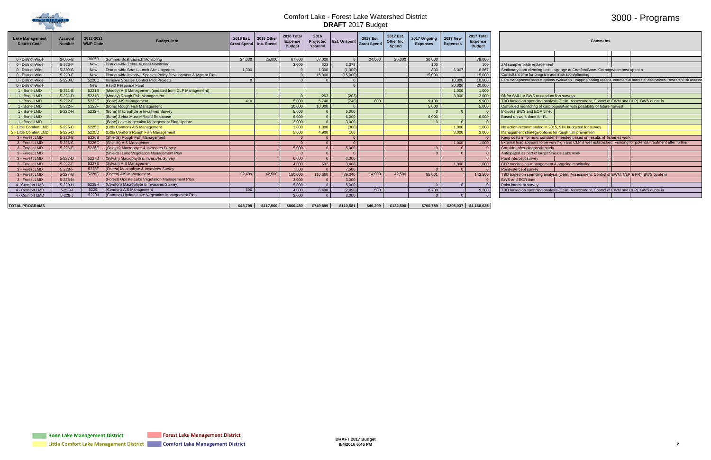

## 3000 - Programs

|                                     | <b>Comments</b>                                                                  |  |                                                                                                                      |
|-------------------------------------|----------------------------------------------------------------------------------|--|----------------------------------------------------------------------------------------------------------------------|
|                                     |                                                                                  |  |                                                                                                                      |
|                                     |                                                                                  |  |                                                                                                                      |
| plate replacement                   |                                                                                  |  |                                                                                                                      |
|                                     | bat cleaning units, signage at Comfort/Bone. Garbage/compost upkeep              |  |                                                                                                                      |
|                                     | me for program administration/planning                                           |  |                                                                                                                      |
|                                     |                                                                                  |  | ment/harvest options evaluation - trapping/baiting options, commercial harvester alternatives; Research/risk assessr |
|                                     |                                                                                  |  |                                                                                                                      |
|                                     |                                                                                  |  |                                                                                                                      |
| or BWS to conduct fish surveys      |                                                                                  |  |                                                                                                                      |
|                                     | on spending analysis (Delin, Assessment, Control of EWM and CLP). BWS quote in   |  |                                                                                                                      |
|                                     | onitoring of carp population with possibility of future harvest                  |  |                                                                                                                      |
| 'S and EOR time.                    |                                                                                  |  |                                                                                                                      |
| ork done for FL                     |                                                                                  |  |                                                                                                                      |
|                                     |                                                                                  |  |                                                                                                                      |
|                                     | commended in 2015, \$1K budgeted for survey                                      |  |                                                                                                                      |
|                                     | t strategy/options for rough fish prevention                                     |  |                                                                                                                      |
|                                     | n for now, consider if needed based on results of fisheries work                 |  |                                                                                                                      |
|                                     |                                                                                  |  | I appears to be very high and CLP is well established. Funding for potential treatment after further                 |
| er diagnostic study                 |                                                                                  |  |                                                                                                                      |
| as part of larger Shields Lake work |                                                                                  |  |                                                                                                                      |
| pt survey                           |                                                                                  |  |                                                                                                                      |
|                                     | nical management & ongoing monitoring                                            |  |                                                                                                                      |
| pt survey                           |                                                                                  |  |                                                                                                                      |
|                                     | on spending analysis (Delin, Assessment, Control of EWM, CLP & FR). BWS quote in |  |                                                                                                                      |
| <b>OR</b> time                      |                                                                                  |  |                                                                                                                      |
| pt survey                           |                                                                                  |  |                                                                                                                      |
|                                     | on spending analysis (Delin, Assessment, Control of EWM and CLP). BWS quote in   |  |                                                                                                                      |
|                                     |                                                                                  |  |                                                                                                                      |

| <b>Lake Manageme</b><br><b>District Code</b> | <b>Account</b><br><b>Number</b> | 2012-2021<br><b>WMP Code</b> | <b>Budget Item</b>                                             | 2016 Est. 2016 Other<br>Grant Spend Inc. Spend |           | <b>2016 Tota</b><br><b>Expense</b><br><b>Budget</b> | 2016<br>Projected<br>Yearend | <b>Est. Unspent</b> | 2017 Est.<br><b>Grant Spend</b> | 2017 Est<br>Other Inc.<br>Spend | 2017 Ongoing<br><b>Expenses</b> | 2017 Ne<br><b>Expenses</b> | 2017 Total<br><b>Expense</b><br><b>Budget</b> | <b>Comments</b>                                                                                                                |
|----------------------------------------------|---------------------------------|------------------------------|----------------------------------------------------------------|------------------------------------------------|-----------|-----------------------------------------------------|------------------------------|---------------------|---------------------------------|---------------------------------|---------------------------------|----------------------------|-----------------------------------------------|--------------------------------------------------------------------------------------------------------------------------------|
|                                              |                                 |                              |                                                                |                                                |           |                                                     |                              |                     |                                 |                                 |                                 |                            |                                               |                                                                                                                                |
| 0 - District-Wide                            | $3-005-B$                       | 3005B                        | Summer Boat Launch Monitoring                                  | 24,000                                         | 25.000    | 67,000                                              | 67.000                       |                     | 24.000                          | 25,000                          | 30,000                          |                            | 79,000                                        |                                                                                                                                |
| 0 - District-Wide                            | 5-220-F                         | <b>New</b>                   | District-wide Zebra Mussel Monitoring                          |                                                |           | 3.000                                               | 622                          | 2,378               |                                 |                                 | 100                             |                            | 100                                           | ZM sampler plate replacement                                                                                                   |
| 0 - District-Wide                            | 5-220-G                         | New                          | District-wide Boat Launch Site Upgrades                        | 1.300                                          |           |                                                     | 1.300                        | (1.300)             |                                 |                                 | 800                             | 6.067                      | 6,867                                         | Stationary boat cleaning units, signage at Comfort/Bone. Garbage/compost upkeep                                                |
| 0 - District-Wide                            | 5-220-E                         | New                          | District-wide Invasive Species Policy Development & Mgmnt Plan |                                                |           |                                                     | 15.000                       | (15.000)            |                                 |                                 | 15.000                          |                            | 15,000                                        | Consultant time for program administration/planning                                                                            |
| 0 - District-Wide                            | 5-220-C                         | 5220C                        | Invasive Species Control Pilot Projects                        |                                                |           |                                                     |                              |                     |                                 |                                 |                                 | 10.000                     | 10,000                                        | Carp management/harvest options evaluation - trapping/baiting options, commercial harvester alternatives; Research/risk assess |
| 0 - District-Wide                            |                                 | New                          | Rapid Response Fund                                            |                                                |           |                                                     |                              |                     |                                 |                                 |                                 | 20,000                     | 20,000                                        |                                                                                                                                |
| 1 - Bone LMD                                 | $5 - 221 - B$                   | 5221B                        | (Moody) AIS Management (updated from CLP Management)           |                                                |           |                                                     |                              |                     |                                 |                                 |                                 | 1,000                      | 1.000                                         |                                                                                                                                |
| 1 - Bone LMD                                 | $5 - 221 - D$                   | 5221D                        | (Moody) Rough Fish Management                                  |                                                |           |                                                     | 203                          | (203)               |                                 |                                 |                                 | 3.000                      | 3,000                                         | \$\$ for SMU or BWS to conduct fish surveys                                                                                    |
| 1 - Bone LMD                                 | 5-222-E                         | 5222E                        | (Bone) AIS Management                                          | 410                                            |           | 5.000                                               | 5,740                        | (740)               | 800                             |                                 | 9,100                           |                            | 9,900                                         | TBD based on spending analysis (Delin, Assessment, Control of EWM and CLP). BWS quote in                                       |
| 1 - Bone LMD                                 | 5-222-F                         | 5222F                        | (Bone) Rough Fish Management                                   |                                                |           | 10.000                                              | 10.000                       |                     |                                 |                                 | 5,000                           |                            | 5.000                                         | Continued monitoring of carp population with possibility of future harvest                                                     |
| 1 - Bone LMD                                 | 5-222-H                         | 5222H                        | (Bone) Macrophyte & Invasives Survey                           |                                                |           | 5.000                                               |                              | 5,000               |                                 |                                 |                                 |                            |                                               | Includes BWS and EOR time.                                                                                                     |
| 1 - Bone LMD                                 |                                 |                              | (Bone) Zebra Mussel Rapid Response                             |                                                |           | 6.000                                               |                              | 6.000               |                                 |                                 | 6,000                           |                            | 6.000                                         | Based on work done for FL                                                                                                      |
| 1 - Bone LMD                                 |                                 |                              | (Bone) Lake Vegetation Management Plan Update                  |                                                |           | 3.000                                               |                              | 3.000               |                                 |                                 |                                 |                            |                                               |                                                                                                                                |
| 2 - Little Comfort LMD                       | 5-225-C                         | 5225C                        | (Little Comfort) AIS Management                                |                                                |           | 1.000                                               | 1,300                        | (300)               |                                 |                                 |                                 | 1.000                      | 1.000                                         | No action recommended in 2015, \$1K budgeted for survey                                                                        |
| 2 - Little Comfort LMD                       | $5 - 225 - D$                   | 5225D                        | (Little Comfort) Rough Fish Management                         |                                                |           | 5.000                                               | 4.900                        | 100 <sub>1</sub>    |                                 |                                 |                                 | 3.000                      | 3.000                                         | Management strategy/options for rough fish prevention                                                                          |
| 3 - Forest LMD                               | $5 - 226 - B$                   | 5226B                        | (Shields) Rough Fish Management                                |                                                |           |                                                     |                              |                     |                                 |                                 |                                 |                            |                                               | Keep costs in for now, consider if needed based on results of fisheries work                                                   |
| 3 - Forest LMD                               | 5-226-C                         | 5226C                        | (Shields) AIS Management                                       |                                                |           |                                                     |                              |                     |                                 |                                 |                                 | 1.000                      | 1.000                                         | External load appears to be very high and CLP is well established. Funding for potential treatment after further               |
| 3 - Forest LMD                               | 5-226-E                         | 5226E                        | (Shields) Macrophyte & Invasives Survey                        |                                                |           | 5.000                                               |                              | 5.000               |                                 |                                 |                                 |                            |                                               | Consider after diagnostic study                                                                                                |
| 3 - Forest LMD                               |                                 |                              | (Shields) Lake Vegetation Management Plan                      |                                                |           |                                                     |                              |                     |                                 |                                 |                                 |                            |                                               | Anticipated as part of larger Shields Lake work                                                                                |
| 3 - Forest LMD                               | 5-227-D                         | 5227D                        | (Sylvan) Macrophyte & Invasives Survey                         |                                                |           | 6.000                                               |                              | 6,000               |                                 |                                 |                                 |                            |                                               | Point intercept survey                                                                                                         |
| 3 - Forest LMD                               | 5-227-E                         | 5227E                        | (Sylvan) AIS Management                                        |                                                |           | 4.000                                               | 592                          | 3.408               |                                 |                                 |                                 | 1.000                      | 1.000                                         | CLP mechanical management & ongoing monitoring                                                                                 |
| 3 - Forest LMD                               | 5-228-F                         |                              | 5228F (Forest) Macrophyte & Invasives Survey                   |                                                |           | 7.500                                               |                              | 7.500               |                                 |                                 |                                 |                            |                                               | Point-intercept survey                                                                                                         |
| 3 - Forest LMD                               | 5-228-G                         | 5228G                        | (Forest) AIS Management                                        | 22,499                                         | 42,500    | 150,000                                             | 110.660                      | 39,340              | 14,999                          | 42,500                          | 85,001                          |                            | 142,500                                       | TBD based on spending analysis (Delin, Assessment, Control of EWM, CLP & FR). BWS quote in                                     |
| 3 - Forest LMD                               | 5-228-N                         |                              | (Forest) Update Lake Vegetation Management Plan                |                                                |           | 3.000                                               |                              | 3.000               |                                 |                                 |                                 |                            |                                               | BWS and EOR time                                                                                                               |
| 4 - Comfort LMD                              | 5-229-H                         | 5229H                        | (Comfort) Macrophyte & Invasives Survey                        |                                                |           | 5.000                                               |                              | 5.000               |                                 |                                 |                                 |                            |                                               | Point-intercept survey                                                                                                         |
| 4 - Comfort LMD                              | $5 - 229 - 1$                   | 52291                        | (Comfort) AIS Management                                       | 500                                            |           | 4,000                                               | 6,498                        | (2, 498)            | 500                             |                                 | 8,700                           |                            | 9,200                                         | TBD based on spending analysis (Delin, Assessment, Control of EWM and CLP). BWS quote in                                       |
| 4 - Comfort LMD                              | $5-229-J$                       |                              | 5229J (Comfort) Update Lake Vegetation Management Plan         |                                                |           | 3.000                                               |                              | 3.000               |                                 |                                 |                                 |                            |                                               |                                                                                                                                |
|                                              |                                 |                              |                                                                |                                                |           |                                                     |                              |                     |                                 |                                 |                                 |                            |                                               |                                                                                                                                |
| <b>TOTAL PROGRAMS</b>                        |                                 |                              |                                                                | \$48,709                                       | \$117,500 | \$860,480                                           | \$749,899                    | \$110,581           | \$40,299                        | \$122,500                       | \$700,789                       |                            | $$305,037$ $$1,168,625$                       |                                                                                                                                |

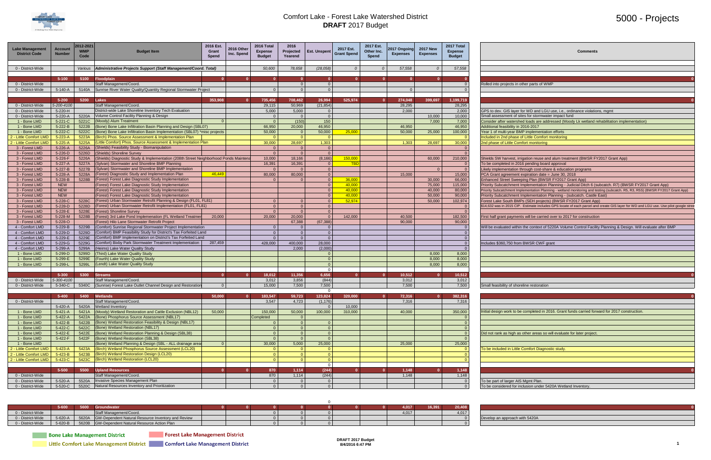

### 5000 - Projects

| <b>Comments</b>                                                                                             |
|-------------------------------------------------------------------------------------------------------------|
|                                                                                                             |
|                                                                                                             |
| 0                                                                                                           |
| ther parts of WMP                                                                                           |
|                                                                                                             |
| 0                                                                                                           |
|                                                                                                             |
| or WD and LGU use, i.e., ordinance violations, mgmt                                                         |
| es for stormwater impact fund<br>d loads are addressed (Moody Lk wetland rehabilitation implementation)     |
| 2016-2017                                                                                                   |
| P implementation efforts                                                                                    |
| f Little Comfort monitoring                                                                                 |
| fort monitoring                                                                                             |
|                                                                                                             |
| gation reuse and alum treatment (BWSR FY2017 Grant App)                                                     |
| 6 pending board approval                                                                                    |
| nrough cost-share & education programs<br>expiration date = June 30, 2018                                   |
| bing Plan (BWSR FY2017 Grant App)                                                                           |
| mplementation Planning - Judicial Ditch 6 (subcatch. R7) (BWSR FY2017 Grant App)                            |
| lementation Planning - wetland monitoring and testing (subcatch. R5, R3, R5S) (BWSR FY2017 Grant App)       |
| mplementation Planning - (subcatch. Castle East)<br>'s (SEH projects) (BWSR FY2017 Grant App)               |
| Estimate includes GPS locate of each parcel and create GIS layer for WD and LGU use. Use pilot google stree |
|                                                                                                             |
| s will be carried over to 2017 for construction                                                             |
| the context of 5220A Volume Control Facility Planning & Design. Will evaluate after BMP                     |
|                                                                                                             |
|                                                                                                             |
| <b>BWSR CWF grant</b>                                                                                       |
|                                                                                                             |
|                                                                                                             |
|                                                                                                             |
|                                                                                                             |
| 0                                                                                                           |
| eline restoration                                                                                           |
|                                                                                                             |
| $\mathbf 0$                                                                                                 |
|                                                                                                             |
| completed in 2016. Grant funds carried forward for 2017 construction.                                       |
|                                                                                                             |
|                                                                                                             |
| other areas so will evaluate for later project.                                                             |
|                                                                                                             |
|                                                                                                             |
| Comfort Diagnostic study.                                                                                   |
|                                                                                                             |

To be considered for inclusion under 5420A Wetland Inventory.

| <b>Lake Management</b><br><b>District Code</b> | <b>Account</b><br><b>Number</b> | 2012-2021<br><b>WMP</b><br>Code | <b>Budget Item</b>                                                                  | 2016 Est.<br>Grant<br><b>Spend</b> | 2016 Other<br>Inc. Spend | 2016 Total<br><b>Expense</b><br><b>Budget</b> | 2016<br>Projected<br>Yearend | <b>Est. Unspent</b>        | 2017 Est.<br><b>Grant Spend</b> | 2017 Est.<br>Other Inc.<br>Spend | 2017 Ongoing<br><b>Expenses</b> | <b>2017 New</b><br><b>Expenses</b> | 2017 Total<br><b>Expense</b><br><b>Budget</b> | <b>Comments</b>                                                                                                                       |
|------------------------------------------------|---------------------------------|---------------------------------|-------------------------------------------------------------------------------------|------------------------------------|--------------------------|-----------------------------------------------|------------------------------|----------------------------|---------------------------------|----------------------------------|---------------------------------|------------------------------------|-----------------------------------------------|---------------------------------------------------------------------------------------------------------------------------------------|
| 0 - District-Wide                              |                                 |                                 | Various   Administrative Projects Support (Staff Management/Coord. Total)           |                                    |                          | 50,600                                        | 78,658                       | (28.058)                   | $\Omega$                        | $\Omega$                         | 57,558                          | $\Omega$                           | 57,558                                        |                                                                                                                                       |
|                                                |                                 |                                 |                                                                                     |                                    |                          |                                               |                              |                            |                                 |                                  |                                 |                                    |                                               |                                                                                                                                       |
| 0 - District-Wide                              | $5 - 100$                       |                                 | 5100 Floodplain<br>Staff Management/Coord.                                          |                                    |                          |                                               | $\overline{\mathbf{0}}$      | $\Omega$<br>$\overline{0}$ | $\Omega$                        |                                  |                                 |                                    | $\Omega$                                      | Rolled into projects in other parts of WMP                                                                                            |
| 0 - District-Wide                              | 5-140-A                         |                                 | 5140A Sunrise River Water Quality/Quantity Regional Stormwater Project              |                                    |                          |                                               | $\Omega$                     | $\overline{0}$             |                                 |                                  |                                 |                                    |                                               |                                                                                                                                       |
|                                                |                                 |                                 |                                                                                     |                                    |                          |                                               |                              |                            |                                 |                                  |                                 |                                    |                                               |                                                                                                                                       |
|                                                | $5 - 200$                       | 5200 Lakes                      |                                                                                     | 353,908                            | $\Omega$                 | 735,456                                       | 708,462                      | 26,994                     | 525,974                         |                                  | 274,048                         | 399,697                            | 1,199,719                                     |                                                                                                                                       |
| 0 - District-Wide                              | 5-200-4100                      |                                 | Staff Management/Coord.                                                             |                                    |                          | 29,115                                        | 50,969                       | (21, 854)                  |                                 |                                  | 28,295                          |                                    | 28,295                                        |                                                                                                                                       |
| 0 - District-Wide                              | 5-220-H                         |                                 | District-wide Lake Shoreline Inventory Tech Evaluation                              |                                    |                          | 5.000                                         | 5,000                        | $\overline{0}$             |                                 |                                  | 2.000                           |                                    | 2.000                                         | GPS to dev. GIS layer for WD and LGU use, i.e., ordinance violations, mgmt                                                            |
| 0 - District-Wide                              | 5-220-A                         |                                 | 5220A Volume Control Facility Planning & Design                                     |                                    |                          |                                               | $\overline{0}$               | $\overline{0}$             |                                 |                                  |                                 | 10,000                             | 10,000                                        | Small assessment of sites for stormwater impact fund                                                                                  |
| 1 - Bone LMD                                   | 5-221-C                         | 5221C                           | (Moody) Alum Treatment                                                              |                                    |                          |                                               | (150)                        | 150                        |                                 |                                  |                                 | 7,000                              | 7,000                                         | Consider after watershed loads are addressed (Moody Lk wetland rehabilitation implementation)                                         |
| 1 - Bone LMD                                   | $5 - 222 - B$                   | 5222B                           | (Bone) Bone Lake Infiltration Basin Planning and Design (SBL07)                     |                                    |                          | 66.950                                        | 20.000                       | 46.950                     |                                 |                                  | 46.950                          |                                    | 46.950                                        | Additional feasibility in 2016-2017                                                                                                   |
| 1 - Bone LMD                                   | 5-222-C                         | 5222C                           | (Bone) Bone Lake Infiltration Basin Implementation (SBL07) *misc projects           |                                    |                          | 50,000                                        | $\Omega$                     | 50,000                     | 25,000                          |                                  | 50,000                          | 25,000                             | 100,000                                       | Year 1 of multi-year BMP implementation efforts                                                                                       |
| 2 - Little Comfort LM                          | $5 - 223 - A$                   | 5223A                           | (Birch) Phos. Source Assessment & Implementation Plan                               |                                    |                          |                                               | $\Omega$                     | $\Omega$                   |                                 |                                  |                                 |                                    |                                               | Included in 2nd phase of Little Comfort monitoring                                                                                    |
| 2 - Little Comfort LM                          | $5 - 225 - A$                   | 5225A                           | (Little Comfort) Phos. Source Assessment & Implementation Plan                      |                                    |                          | 30,000                                        | 28,697                       | 1,303                      |                                 |                                  | 1,303                           | 28,697                             | 30,000                                        | 2nd phase of Little Comfort monitoring                                                                                                |
| 3 - Forest LMD                                 | 5-226-A                         | 5226A                           | (Shields) Feasibility Study - Biomanipulation                                       |                                    |                          |                                               | $\overline{0}$               | $\overline{0}$             |                                 |                                  |                                 |                                    |                                               |                                                                                                                                       |
| 3 - Forest LMD                                 | 5-226-D                         | 5226D                           | (Shields) Shoreline Survey                                                          |                                    |                          |                                               | $\overline{0}$               | $\overline{0}$             |                                 |                                  |                                 |                                    |                                               |                                                                                                                                       |
| 3 - Forest LMD                                 | 5-226-F                         | 5226A                           | (Shields) Diagnostic Study & Implementation (208th Street Neighborhood Ponds Mainte |                                    |                          | 10,000                                        | 18,166                       | (8, 166)                   | 150,000                         |                                  |                                 | 60,000                             | 210,000                                       | Shields SW harvest, irrigation reuse and alum treatment (BWSR FY2017 Grant App)                                                       |
| 3 - Forest LMD                                 | $5-227-A$                       | 5227A                           | (Sylvan) Stormwater and Shoreline BMP Planning                                      |                                    |                          | 16,391                                        | 16,391                       | $\overline{0}$             | TRI                             |                                  |                                 |                                    | - 0                                           | To be completed in 2016 pending board approval                                                                                        |
| 3 - Forest LMD                                 | 5-227-B                         | 5227B                           | (Sylvan) Stormwater and Shoreline BMP Implementation                                |                                    |                          |                                               | $\Omega$                     | $\overline{\mathbf{0}}$    |                                 |                                  |                                 |                                    | $\overline{0}$                                | Likely implementation through cost-share & education programs                                                                         |
| 3 - Forest LMD                                 | 5-228-A                         | 5228A                           | (Forest) Diagnostic Study and Implementation Plan                                   | 46,449                             |                          | 80,000                                        | 80,000                       | $\overline{\mathbf{0}}$    |                                 |                                  | 15,000                          |                                    | 15,000                                        | PCA Grant agreement expiration date = June 30, 2018                                                                                   |
| 3 - Forest LMD                                 | 5-228-B                         | 5228B                           | (Forest) Forest Lake Diagnostic Study Implementation                                |                                    |                          |                                               | $\Omega$                     | $\overline{0}$             | 36,000                          |                                  |                                 | 30.000                             | 66,000                                        | Enhanced Street Sweeping Plan (BWSR FY2017 Grant App)                                                                                 |
| 3 - Forest LMD                                 | <b>NEW</b>                      |                                 | (Forest) Forest Lake Diagnostic Study Implementation                                |                                    |                          |                                               |                              | $\overline{0}$             | 40,000                          |                                  |                                 | 75,000                             | 115,000                                       | Priority Subcatchment Implementation Planning - Judicial Ditch 6 (subcatch. R7) (BWSR FY2017 Grant App)                               |
| 3 - Forest LMD                                 | <b>NEW</b>                      |                                 | (Forest) Forest Lake Diagnostic Study Implementation                                |                                    |                          |                                               |                              | $\Omega$                   | 40.00                           |                                  |                                 | 40,000                             | 80,000                                        | Priority Subcatchment Implementation Planning - wetland monitoring and testing (subcatch. R5, R3, R5S) (BWSR FY2017 Grant App)        |
| 3 - Forest LMD                                 | <b>NEW</b>                      |                                 | (Forest) Forest Lake Diagnostic Study Implementation                                |                                    |                          |                                               |                              | $\overline{0}$             | 40.00                           |                                  |                                 | 50.000                             | 90,000                                        | Priority Subcatchment Implementation Planning - (subcatch. Castle East)                                                               |
| 3 - Forest LMD                                 | 5-228-C                         |                                 | 5228C (Forest) Urban Stormwater Retrofit Planning & Design (FL01, FL81)             |                                    |                          |                                               | $\Omega$                     | $\overline{0}$             | 52,974                          |                                  |                                 | 50.000                             | 102,974                                       | Forest Lake South BMPs (SEH projects) (BWSR FY2017 Grant App)                                                                         |
| 3 - Forest LMD                                 | 5-228-D                         |                                 | 5228D (Forest) Urban Stormwater Retrofit Implementation (FL01, FL81)                |                                    |                          |                                               | $\Omega$                     | $\Omega$                   |                                 |                                  |                                 |                                    |                                               | \$14,632 was in 2015 CIP. Estimate includes GPS locate of each parcel and create GIS layer for WD and LGU use. Use pilot google stree |
| 3 - Forest LMD                                 | 5-228-E                         | 5228E                           | (Forest) Shoreline Survey                                                           |                                    |                          |                                               | $\overline{0}$               | $\overline{0}$             |                                 |                                  |                                 |                                    |                                               |                                                                                                                                       |
| 3 - Forest LMD                                 | 5-228-M                         | 5228B                           | (Forest) 3rd Lake Pond Implemenation (FL Wetland Treatmen                           | 20,000                             |                          | 20,000                                        | 20,000                       | $\overline{0}$             | 142,000                         |                                  | 40,500                          |                                    | 182,500                                       | First half grant payments will be carried over to 2017 for construction                                                               |
| 3 - Forest LMD                                 | 5-228-O                         |                                 | (Forest) Hilo Lane Stormwater Retrofit Project                                      |                                    |                          |                                               | 67,388                       | (67, 388)                  |                                 |                                  | 90,000                          |                                    | 90,000                                        |                                                                                                                                       |
| 4 - Comfort LMD                                | 5-229-B                         | 5229B                           | (Comfort) Sunrise Regional Stormwater Project Implementation                        |                                    |                          |                                               | $\Omega$                     | $\overline{0}$             |                                 |                                  |                                 |                                    | $\Omega$                                      | Will be evaluated within the context of 5220A Volume Control Facility Planning & Design. Will evaluate after BMP                      |
| 4 - Comfort LMD                                | 5-229-D                         | 5229D                           | (Comfort) BMP Feasibility Study for District's Tax Forfeited Land                   |                                    |                          | $\Omega$                                      | $\overline{\mathbf{0}}$      | $\overline{0}$             |                                 |                                  |                                 |                                    | $\Omega$                                      |                                                                                                                                       |
| 4 - Comfort LMD                                | 5-229-E                         | 5229E                           | (Comfort) BMP Implementation on District's Tax Forfeited Land                       |                                    |                          | $\Omega$                                      | $\overline{0}$               | $\overline{0}$             |                                 |                                  |                                 |                                    | $\Omega$                                      |                                                                                                                                       |
| 4 - Comfort LMD                                | 5-229-G                         | 5229G                           | (Comfort) Bixby Park Stormwater Treatment Implementation                            | 287,459                            |                          | 428,000                                       | 400,000                      | 28,000                     |                                 |                                  |                                 |                                    | $\overline{0}$                                | Includes \$360,750 from BWSR CWF grant                                                                                                |
| 4 - Comfort LMD<br>1 - Bone LMD                | 5-299-A                         | 5299A<br>5299D                  | (Heims) Lake Water Quality Study<br>(Third) Lake Water Quality Study                |                                    |                          |                                               | 2,000                        | (2,000)                    |                                 |                                  |                                 | 8.000                              | $\Omega$<br>8.000                             |                                                                                                                                       |
|                                                | 5-299-D                         |                                 |                                                                                     |                                    |                          |                                               |                              | $\Omega$<br>$\overline{0}$ |                                 |                                  |                                 |                                    |                                               |                                                                                                                                       |
| 1 - Bone LMD<br>1 - Bone LMD                   | 5-299-E<br>5-299-L              | 5299E<br>5299L                  | (Fourth) Lake Water Quality Study<br>(Lendt) Lake Water Quality Study               |                                    |                          |                                               |                              | $\overline{0}$             |                                 |                                  |                                 | 8,000<br>8.000                     | 8,000<br>8.000                                |                                                                                                                                       |
|                                                |                                 |                                 |                                                                                     |                                    |                          |                                               |                              | $\overline{0}$             |                                 |                                  |                                 |                                    |                                               |                                                                                                                                       |
|                                                | $5 - 300$                       |                                 | 5300 Streams                                                                        |                                    | n                        | 18,012                                        | 11,356                       | 6,656                      | $\Omega$                        | n.                               | 10,512                          | - 0                                | 10,512                                        |                                                                                                                                       |
| 0 - District-Wide                              | 5-300-4100                      |                                 | Staff Management/Coord.                                                             |                                    |                          | 3,012                                         | 3,856                        | (844)                      |                                 |                                  | 3,012                           |                                    | 3,012                                         |                                                                                                                                       |
| 0 - District-Wide                              | 5-340-C                         |                                 | 5340C (Sunrise) Forest Lake Outlet Channel Design and Restoration                   |                                    |                          | 15,000                                        | 7,500                        | 7,500                      |                                 |                                  | 7,500                           |                                    | 7,500                                         | Small feasibility of shoreline restoration                                                                                            |
|                                                |                                 |                                 |                                                                                     |                                    |                          |                                               |                              | $\Omega$                   |                                 |                                  |                                 |                                    |                                               |                                                                                                                                       |
|                                                | $5 - 400$                       | 5400                            | Wetlands                                                                            | 50,000                             |                          | 183.547                                       | 59,723                       | 123,824                    | 320,000                         |                                  | 72,316                          |                                    | 382.316                                       |                                                                                                                                       |
| 0 - District-Wide                              |                                 |                                 | Staff Management/Coord.                                                             |                                    |                          | 3,547                                         | 4,723                        | (1, 176)                   |                                 |                                  | 7,316                           |                                    | 7,316                                         |                                                                                                                                       |
|                                                | $5 - 420 - A$                   | 5420A                           | Wetland Inventory                                                                   |                                    |                          |                                               |                              | $\Omega$                   | 10.000                          |                                  |                                 |                                    |                                               |                                                                                                                                       |
| 1 - Bone LMD                                   | $5 - 421 - A$                   | 5421A                           | (Moody) Wetland Restoration and Cattle Exclusion (NBL12)                            | 50,000                             |                          | 150,000                                       | 50,000                       | 100,000                    | 310,000                         |                                  | 40,000                          |                                    | 350,000                                       | nitial design work to be completed in 2016. Grant funds carried forward for 2017 construction.                                        |
| 1 - Bone LMD                                   | 5-422-A                         | 5422A                           | (Bone) Phosphorus Source Assessment (NBL17)                                         |                                    |                          | Completed                                     | $\Omega$                     |                            |                                 |                                  |                                 |                                    |                                               |                                                                                                                                       |
| 1 - Bone LMD                                   | $5 - 422 - B$                   | 5422B                           | (Bone) Wetland Restoration Feasibility & Design (NBL17)                             |                                    |                          |                                               | $\overline{0}$               | $\overline{0}$             |                                 |                                  |                                 |                                    | $\Omega$                                      |                                                                                                                                       |
| 1 - Bone LMD                                   | 5-422-C                         |                                 | 5422C (Bone) Wetland Restoration (NBL17)                                            |                                    |                          |                                               | $\overline{0}$               | $\overline{0}$             |                                 |                                  |                                 |                                    | $\Omega$                                      |                                                                                                                                       |

| 1 - Bone LMD           |               |      | 5-422-C   5422C (Bone) Wetland Restoration (NBL17)         |  |        |       |        |        |        |                                                                         |
|------------------------|---------------|------|------------------------------------------------------------|--|--------|-------|--------|--------|--------|-------------------------------------------------------------------------|
| 1 - Bone LMD           | $5 - 422 - E$ |      | 5422E (Bone) Wetland Restoration Planning & Design (SBL38) |  |        |       |        |        |        | Did not rank as high as other areas so will evaluate for later project. |
| 1 - Bone LMD           | 5-422-F       |      | 5422F (Bone) Wetland Restoration (SBL38)                   |  |        |       |        |        |        |                                                                         |
| 1 - Bone LMD           |               |      | (Bone) Wetland Planning & Design (SBL - ALL drainage area  |  | 30,000 | 5,000 | 25,000 | 25,000 | 25,000 |                                                                         |
| 2 - Little Comfort LMD | $5 - 423 - A$ |      | 5423A (Birch) Wetland Phosphorus Source Assessment (LCL20) |  |        |       |        |        |        | To be included in Little Comfort Diagnostic study.                      |
| 2 - Little Comfort LMD | $5 - 423 - B$ |      | 5423B (Birch) Wetland Restoration Design (LCL20)           |  |        |       |        |        |        |                                                                         |
| 2 - Little Comfort LMD | $5-423-C$     |      | 5423C (Birch) Wetland Restoration (LCL20)                  |  |        |       |        |        |        |                                                                         |
|                        |               |      |                                                            |  |        |       |        |        |        |                                                                         |
|                        | 5-500         | 5500 | <b>Upland Resources</b>                                    |  | 870    | 1.114 | (244)  | 1.148  | 1.148  |                                                                         |
| 0 - District-Wide      |               |      | Staff Management/Coord.                                    |  | 870    | 1.114 | (244)  | 1,148  | 1,148  |                                                                         |
| 0 - District-Wide      | $5 - 520 - A$ |      | 5520A Invasive Species Management Plan                     |  |        |       |        |        |        | To be part of larger AIS Mgmt Plan.                                     |
| 0 - District-Wide      | $5 - 520 - C$ |      | 5520C Natural Resources Inventory and Prioritization       |  |        |       |        |        |        | To be considered for inclusion under 5420A Wetland Inventory            |

|                   | $5 - 600$ | 5600 | Groundwater                                               |  |  |  | 4,017 | 16,391 | 20,408 |                                |
|-------------------|-----------|------|-----------------------------------------------------------|--|--|--|-------|--------|--------|--------------------------------|
| 0 - District-Wide |           |      | Staff Management/Coord.                                   |  |  |  | 4.017 |        | 4.017  |                                |
| 0 - District-Wide | 5-620-A   |      | 5620A GW-Dependent Natural Resource Inventory and Review  |  |  |  |       |        |        | Develop an approach with 5420A |
| 0 - District-Wide |           |      | 5-620-B   5620B GW-Dependent Natural Resource Action Plan |  |  |  |       |        |        |                                |

**Bone Lake Management District** 

**Forest Lake Management District** 

Little Comfort Lake Management District Comfort Lake Management District

**DRAFT 2017 Budget 8/4/2016 6:47 PM 1**